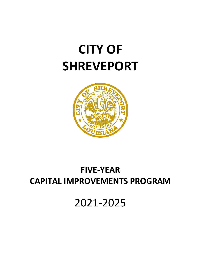# **CITY OF SHREVEPORT**



# **FIVE-YEAR CAPITAL IMPROVEMENTS PROGRAM**

2021-2025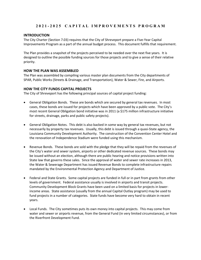#### **INTRODUCTION**

The City Charter (Section 7.03) requires that the City of Shreveport prepare a Five-Year Capital Improvements Program as a part of the annual budget process. This document fulfills that requirement.

The Plan provides a snapshot of the projects perceived to be needed over the next five years. It is designed to outline the possible funding sources for those projects and to give a sense of their relative priority.

#### **HOW THE PLAN WAS ASSEMBLED**

The Plan was assembled by compiling various master plan documents from the City departments of SPAR, Public Works (Streets & Drainage, and Transportation), Water & Sewer, Fire, and Airports.

#### **HOW THE CITY FUNDS CAPITAL PROJECTS**

The City of Shreveport has the following principal sources of capital project funding:

- General Obligation Bonds. These are bonds which are secured by general tax revenues. In most cases, these bonds are issued for projects which have been approved by a public vote. The City's most recent General Obligation bond initiative was in 2011 (a \$175 million infrastructure initiative for streets, drainage, parks and public safety projects).
- General Obligation Notes. This debt is also backed in some way by general tax revenues, but not necessarily by property tax revenues. Usually, this debt is issued through a quasi-State agency, the Louisiana Community Development Authority. The construction of the Convention Center Hotel and the renovation of Independence Stadium were funded using this mechanism.
- Revenue Bonds. These bonds are sold with the pledge that they will be repaid from the revenues of the City's water and sewer system, airports or other dedicated revenue sources. These bonds may be issued without an election, although there are public hearing and notice provisions written into State law that governs these sales. Since the approval of water and sewer rate increases in 2013, the Water & Sewerage Department has issued Revenue Bonds to complete infrastructure repairs mandated by the Environmental Protection Agency and Department of Justice.
- Federal and State Grants. Some capital projects are funded in full or in part from grants from other levels of government. Federal assistance usually is involved in airports and transit projects. Community Development Block Grants have been used on a limited basis for projects in lowerincome areas. State assistance (usually from the annual Capital Outlay program) may be used to fund projects in a number of categories. State funds have become very hard to obtain in recent years.
- Local Funds. The City sometimes puts its own money into capital projects. This may come from water and sewer or airports revenue, from the General Fund (in very limited circumstances), or from the Riverfront Development Fund.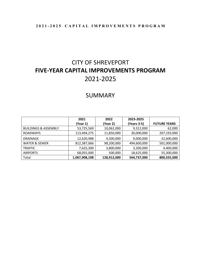# CITY OF SHREVEPORT **FIVE-YEAR CAPITAL IMPROVEMENTS PROGRAM** 2021-2025

# SUMMARY

|                                 | 2021          | 2022        | 2023-2025   |                     |
|---------------------------------|---------------|-------------|-------------|---------------------|
|                                 | (Year 1)      | (Year 2)    | (Years 3-5) | <b>FUTURE YEARS</b> |
| <b>BUILDINGS &amp; ASSEMBLY</b> | 53,725,569    | 10,062,000  | 9,312,000   | 62,000              |
| <b>ROADWAYS</b>                 | 113,494,275   | 11,850,000  | 30,000,000  | 207,193,000         |
| <b>DRAINAGE</b>                 | 12,620,988    | 4,500,000   | 9,000,000   | 32,600,000          |
| <b>WATER &amp; SEWER</b>        | 812,387,066   | 98,200,000  | 494,600,000 | 501,000,000         |
| <b>TRAFFIC</b>                  | 7,625,300     | 3,800,000   | 3,200,000   | 4,400,000           |
| <b>AIRPORTS</b>                 | 68,055,000    | 500,000     | 18,625,000  | 55,300,000          |
| Total                           | 1,067,908,198 | 128,912,000 | 564,737,000 | 800,555,000         |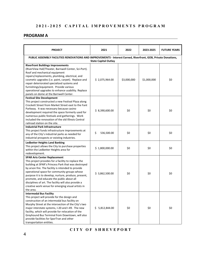#### **PROGRAM A**

| <b>PROJECT</b>                                                                                                                                                                                                                                                                                                                                                                                                                                                                          | 2021                        | 2022        | 2023-2025   | <b>FUTURE YEARS</b> |
|-----------------------------------------------------------------------------------------------------------------------------------------------------------------------------------------------------------------------------------------------------------------------------------------------------------------------------------------------------------------------------------------------------------------------------------------------------------------------------------------|-----------------------------|-------------|-------------|---------------------|
| PUBLIC ASSEMBLY FACILITIES RENOVATIONS AND IMPROVEMENTS - Interest Earned, Riverfront, GOB, Private Donations,                                                                                                                                                                                                                                                                                                                                                                          | <b>State Capital Outlay</b> |             |             |                     |
| <b>Riverfront Buildings Improvements</b><br>(RiverView Hall/Theater, Barnwell Center, Sci-Port).<br>Roof and mechanical equipment<br>repairs/replacements, plumbing, electrical, and<br>cosmetic upgrades (i.e. paint, carpet). Replace and<br>repair deteriorated specialized systems and<br>furnishings/equipment. Provide various<br>operational upgrades to enhance usability. Replace<br>panels on dome at the Barnwell Center.                                                    | \$2,075,964.00              | \$3,000,000 | \$1,000,000 | \$0                 |
| <b>Festival Site Development</b><br>This project constructed a new Festival Plaza along<br>Crockett Street from Market Street east to the Fant<br>Parkway. It was necessary because casino<br>development required the space formerly used for<br>numerous public festivals and gatherings. Work<br>included the renovation of the old Illinois Central<br>railroad station on the site.                                                                                                | \$3,390,600.00              | \$0         | \$0         | \$0                 |
| <b>Industrial Park Infrastructure</b><br>This project funds infrastructure improvements at<br>any of the City's industrial parks as needed for<br>industrial prospects or existing industries.                                                                                                                                                                                                                                                                                          | \$<br>536,500.00            | \$0         | \$0         | \$0                 |
| <b>Ledbetter Heights Land Banking</b><br>This project allows the City to purchase properties<br>within the Ledbetter Heights area for<br>redevelopment.                                                                                                                                                                                                                                                                                                                                 | \$1,800,000.00              | \$0         | \$0         | \$0                 |
| <b>SPAR Arts Center Replacement</b><br>This project provides for a facility to replace the<br>building at SPAR's Princess Park that was destroyed<br>by arson fire. The facility is intended to provide<br>operational space for community groups whose<br>purpose it is to develop, nurture, produce, present,<br>promote, and educate the public about all<br>disciplines of art. The facility will also provide a<br>creative work venue for emerging visual artists in<br>the area. | \$3,862,500.00              | \$0         | \$0         | \$0                 |
| <b>Intermodal Bus Facility</b><br>This project will provide for the design and<br>construction of an intermodal bus facility on<br>Murphy Street at the intersection of the City's two<br>major interstate systems, I-20 and I-49. The new<br>facility, which will provide for relocation of the<br>Greyhound Bus Terminal from Downtown, will also<br>provide facilities for SporTran and other<br>transportation entities.                                                            | \$5,812,844.00              | \$0         | \$0         | \$0                 |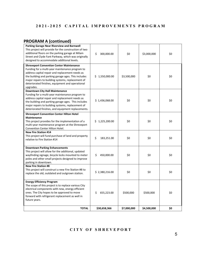# **PROGRAM A (continued)**

| <b>TOTAL</b>                                                                                                                                                                                                                                                                                                                       | \$30,658,366     | \$7,000,000 | \$4,500,000 | \$0 |
|------------------------------------------------------------------------------------------------------------------------------------------------------------------------------------------------------------------------------------------------------------------------------------------------------------------------------------|------------------|-------------|-------------|-----|
| <b>Energy Efficiency Program</b><br>The scope of this project is to replace various City<br>electrical components with new, energy efficient<br>ones. The City hopes to be approved to move<br>forward with refrigerant replacement as well in<br>future years.                                                                    | \$<br>655,223.00 | \$500,000   | \$500,000   | \$0 |
| <b>New Fire Station #8</b><br>This project will construct a new Fire Station #8 to<br>replace the old, outdated and outgrown station.                                                                                                                                                                                              | \$2,380,216.00   | \$0         | \$0         | \$0 |
| <b>Downtown Parking Enhancements</b><br>This project will allow for the additional, updated<br>wayfinding signage, bicycle locks mounted to meter<br>poles and other small projects designed to improve<br>parking in downtown.                                                                                                    | \$<br>450,000.00 | \$0         | \$0         | \$0 |
| <b>New Fire Station #14</b><br>This project will fund purchase of land and property<br>relative to Fire Station #14                                                                                                                                                                                                                | \$<br>183,251.00 | \$0         | \$0         | \$0 |
| <b>Shreveport Convention Center Hilton Hotel</b><br><b>Maintenance</b><br>This project provides for the implementation of a<br>multi-year maintenance program at the Shreveport<br>Convention Center Hilton Hotel.                                                                                                                 | \$1,225,200.00   | \$0         | \$0         | \$0 |
| <b>Downtown City Hall Maintenance</b><br>Funding for a multi-year maintenance program to<br>address capital repair and replacement needs as<br>the building and parking garage ages. This includes<br>major repairs to building systems, replacement of<br>deteriorated finishes, and equipment replacements.                      | \$1,436,068.00   | \$0         | \$0         | \$0 |
| <b>Shreveport Convention Center Maintenance</b><br>Funding for a multi-year maintenance program to<br>address capital repair and replacement needs as<br>the building and parking garage ages. This includes<br>major repairs to building systems, replacement of<br>deteriorated finishes, equipment and operational<br>upgrades. | \$1,550,000.00   | \$3,500,000 | \$0         | \$0 |
| <b>Parking Garage Near Riverview and Barnwell</b><br>This project will provide for the construction of two<br>additional floors on the parking garage at Milam<br>Street and Clyde Fant Parkway, which was originally<br>designed to accommodate additional levels.                                                                | \$<br>300,000.00 | \$0         | \$3,000,000 | \$0 |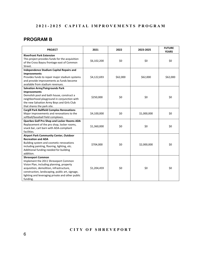# **PROGRAM B**

| <b>PROJECT</b>                                                                                                                               | 2021        | 2022     | 2023-2025   | <b>FUTURE</b><br><b>YEARS</b> |
|----------------------------------------------------------------------------------------------------------------------------------------------|-------------|----------|-------------|-------------------------------|
| <b>Riverfront Park Extension</b><br>This project provides funds for the acquisition<br>of the Cross Bayou frontage east of Common<br>Street. | \$6,102,200 | \$0      | \$0         | \$0                           |
| <b>Independence Stadium Capital Repairs and</b><br><b>Improvements</b>                                                                       |             |          |             |                               |
| Provides funds to repair major stadium systems<br>and provide improvements as funds become<br>available from stadium revenues.               | \$4,122,693 | \$62,000 | \$62,000    | \$62,000                      |
| <b>Salvation Army/Fairgrounds Park</b>                                                                                                       |             |          |             |                               |
| <b>Improvements</b>                                                                                                                          |             |          |             |                               |
| Demolish pool and bath house, construct a                                                                                                    | \$250,000   | \$0      | \$0         | \$0                           |
| neighborhood playground in conjunction with                                                                                                  |             |          |             |                               |
| the new Salvation Army Boys and Girls Club                                                                                                   |             |          |             |                               |
| that shares the park site.<br><b>Cargill Park Ballfield Complex Renovations</b>                                                              |             |          |             |                               |
| Major improvements and renovations to the                                                                                                    | \$4,100,000 | \$0      | \$1,000,000 | \$0                           |
| softball/baseball field complexes.                                                                                                           |             |          |             |                               |
| Querbes Golf Pro Shop and Locker Rooms ADA                                                                                                   |             |          |             |                               |
| Replacement of the pro shop, locker rooms,                                                                                                   |             |          |             |                               |
| snack bar, cart barn with ADA-compliant                                                                                                      | \$1,360,000 | \$0      | \$0         | \$0                           |
| facilities.                                                                                                                                  |             |          |             |                               |
| <b>Airport Park Community Center, Outdoor</b>                                                                                                |             |          |             |                               |
| <b>Recreation and ADA</b>                                                                                                                    |             |          |             |                               |
| Building system and cosmetic renovations                                                                                                     | \$704,000   | \$0      | \$2,000,000 | \$0                           |
| including painting, flooring, lighting, etc.<br>Additional funding needed for building                                                       |             |          |             |                               |
| addition.                                                                                                                                    |             |          |             |                               |
| <b>Shreveport Common</b>                                                                                                                     |             |          |             |                               |
| Implement the 2011 Shreveport Common                                                                                                         |             |          |             |                               |
| Vision Plan, including planning, property                                                                                                    |             |          |             |                               |
| acquisition, demolition, infrastructure,                                                                                                     | \$1,204,459 | \$0      | \$0         | \$0                           |
| construction, landscaping, public art, signage,                                                                                              |             |          |             |                               |
| lighting and leveraging private and other public                                                                                             |             |          |             |                               |
| funding.                                                                                                                                     |             |          |             |                               |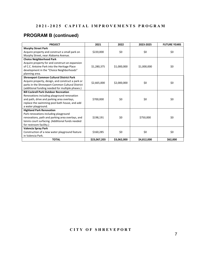# **PROGRAM B (continued)**

| <b>PROJECT</b>                                    | 2021         | 2022        | 2023-2025   | <b>FUTURE YEARS</b> |
|---------------------------------------------------|--------------|-------------|-------------|---------------------|
| <b>Murphy Street Park</b>                         |              |             |             |                     |
| Acquire property and construct a small park on    | \$220,000    | \$0         | \$0         | \$0                 |
| Murphy Street, near Alabama Avenue.               |              |             |             |                     |
| <b>Choice Neighborhood Park</b>                   |              |             |             |                     |
| Acquire property for and construct an expansion   |              |             |             |                     |
| of C.C. Antoine Park into the Heritage Place      | \$1,280,375  | \$1,000,000 | \$1,000,000 | \$0                 |
| development in the "Choice Neighborhoods"         |              |             |             |                     |
| planning area.                                    |              |             |             |                     |
| <b>Shreveport Common Cultural District Park</b>   |              |             |             |                     |
| Acquire property, design, and construct a park or | \$2,665,000  | \$2,000,000 | \$0         | \$0                 |
| parks in the Shreveport Common Cultural District  |              |             |             |                     |
| (additional funding needed for multiple phases.)  |              |             |             |                     |
| <b>Bill Cockrell Park Outdoor Recreation</b>      |              |             |             |                     |
| Renovations including playground renovation       |              |             |             |                     |
| and path, drive and parking area overlays,        | \$700,000    | \$0         | \$0         | \$0                 |
| replace the swimming pool bath house, and add     |              |             |             |                     |
| a water playground.                               |              |             |             |                     |
| <b>Highland Park Renovation</b>                   |              |             |             |                     |
| Park renovations including playground             |              |             |             |                     |
| renovations, path and parking area overlays, and  | \$198,191    | \$0         | \$750,000   | \$0                 |
| tennis court surfacing. (Additional funds needed  |              |             |             |                     |
| for restroom facility.)                           |              |             |             |                     |
| Valencia Spray Park                               |              |             |             |                     |
| Construction of a new water playground feature    | \$160,285    | \$0         | \$0         | \$0                 |
| in Valencia Park.                                 |              |             |             |                     |
| <b>TOTAL</b>                                      | \$23,067,203 | \$3,062,000 | \$4,812,000 | \$62,000            |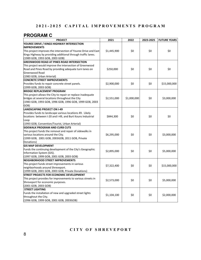# **PROGRAM C**

| <b>PROJECT</b>                                                  | 2021        | 2022        | 2023-2025 | <b>FUTURE YEARS</b> |
|-----------------------------------------------------------------|-------------|-------------|-----------|---------------------|
| YOUREE DRIVE / KINGS HIGHWAY INTERSECTION                       |             |             |           |                     |
| <b>IMPROVEMENTS</b>                                             |             |             |           |                     |
| This project improves the intersection of Youree Drive and East | \$1,445,900 | \$0         | \$0       | \$0                 |
| Kings Highway by providing additional through traffic lanes.    |             |             |           |                     |
| (1989 GOB, 1993 GOB, 2003 GOB)                                  |             |             |           |                     |
| <b>GREENWOOD ROAD AT PINES ROAD INTERSECTION</b>                |             |             |           |                     |
| This project would improve the intersection of Greenwood        |             |             |           |                     |
| Road and Pines Road by providing adequate turn lanes on         | \$250,000   | \$0         | \$0       | \$0                 |
| <b>Greenwood Road</b>                                           |             |             |           |                     |
| (1983 GOB, Urban Arterial)                                      |             |             |           |                     |
| <b>CONCRETE STREET IMPROVEMENTS</b>                             |             |             |           |                     |
| Provides funds to repair concrete street panels.                | \$2,900,000 | \$0         | \$0       | \$15,000,000        |
| (1999 GOB, 2003 GOB)                                            |             |             |           |                     |
| <b>BRIDGE REPLACEMENT PROGRAM</b>                               |             |             |           |                     |
| This project allows the City to repair or replace inadequate    |             |             |           |                     |
| bridges at several locations throughout the City                | \$2,551,000 | \$1,000,000 | \$0       | \$3,000,000         |
| (1983 GOB, 1993 GOB, 1996 GOB, 1996 GOB, 1999 GOB, 2003         |             |             |           |                     |
| GOB)                                                            |             |             |           |                     |
| <b>LANDSCAPING PROJECT ON I-49</b>                              |             |             |           |                     |
| Provides funds to landscape various locations 49. Likely        |             |             |           |                     |
| locations between I-20 and I-49, and Burt Kouns Industrial      | \$844,300   | \$0         | \$0       | \$0                 |
| Loop                                                            |             |             |           |                     |
| (1993 GOB, Convention/Tourist, Urban Arterial)                  |             |             |           |                     |
| <b>SIDEWALK PROGRAM AND CURB CUTS</b>                           |             |             |           |                     |
| This project funds the removal and repair of sidewalks in       |             |             |           |                     |
| various locations around the City.                              | \$6,295,000 | \$0         | \$0       | \$3,000,000         |
| (1999 GOB, 2001 GOB, 2003GOB, 2011 GOB, Private                 |             |             |           |                     |
| Donations)                                                      |             |             |           |                     |
| <b>GIS MAP DEVELOPMENT</b>                                      |             |             |           |                     |
| Funds the continuing development of the City's Geographic       | \$2,895,000 | \$0         | \$0       | \$5,000,000         |
| Information System (GIS).                                       |             |             |           |                     |
| (1997 GOB, 1999 GOB, 2001 GOB, 2003 GOB)                        |             |             |           |                     |
| NEIGHBORHOOD STREET IMPROVEMENTS                                |             |             |           |                     |
| This project funds street improvements in various               | \$7,322,400 | \$0         | \$0       | \$15,000,000        |
| neighborhoods around Shreveport.                                |             |             |           |                     |
| (1999 GOB, 2001 GOB, 2003 GOB, Private Donations)               |             |             |           |                     |
| STREET PROJECTS FOR ECONOMIC DEVELOPMENT                        |             |             |           |                     |
| This project provides for improvements to various streets in    | \$2,573,000 | \$0         | \$0       | \$5,000,000         |
| Shreveport for economic purposes.                               |             |             |           |                     |
| (2001 GOB, 2003 GOB)                                            |             |             |           |                     |
| <b>STREET LIGHTING</b>                                          |             |             |           |                     |
| Funds the installation of new and upgraded street lights        | \$1,104,100 | \$0         | \$0       | \$2,000,000         |
| throughout the City.                                            |             |             |           |                     |
| (1996 GOB, 1999 GOB, 2001 GOB, 2003GOB)                         |             |             |           |                     |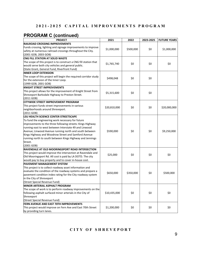# **PROGRAM C (continued)**

| <b>PROJECT</b>                                                    | 2021         | 2022      | 2023-2025 | <b>FUTURE YEARS</b> |
|-------------------------------------------------------------------|--------------|-----------|-----------|---------------------|
| RAILROAD CROSSING IMPROVEMENTS                                    |              |           |           |                     |
| Funds crossing, lighting and signage improvements to improve      |              |           |           |                     |
| safety at numerous railroad crossings throughout the City.        | \$1,000,000  | \$500,000 | \$0       | \$1,000,000         |
| (2001 GOB, 2003 GOB)                                              |              |           |           |                     |
| CNG FILL STATION AT SOLID WASTE                                   |              |           |           |                     |
| The scope of this project is to construct a CNG fill station that |              |           |           |                     |
| would serve both city vehicles and general public.                | \$1,765,740  | \$0       | \$0       | \$0                 |
| (State Grant, General Fund, Riverfront Fund)                      |              |           |           |                     |
| <b>INNER LOOP EXTENSION</b>                                       |              |           |           |                     |
| The scope of this project will begin the required corridor study  |              |           |           |                     |
| for the extension of the Inner Loop.                              | \$498,048    | \$0       | \$0       |                     |
| (1999 GOB, 2001 GOB)                                              |              |           |           |                     |
| <b>KNIGHT STREET IMPROVEMENTS</b>                                 |              |           |           |                     |
| This project allows for the improvement of Knight Street from     |              |           |           |                     |
|                                                                   | \$5,315,600  | \$0       | \$0       |                     |
| Shreveport Barksdale Highway to Preston Street.                   |              |           |           |                     |
| (2011 GOB)                                                        |              |           |           |                     |
| <b>CITYWIDE STREET IMPROVEMENT PROGRAM</b>                        |              |           |           |                     |
| This project funds street improvements in various                 | \$20,810,000 | \$0       | \$0       | \$20,000,000        |
| neighborhoods around Shreveport.                                  |              |           |           |                     |
| (2011 GOB)                                                        |              |           |           |                     |
| <b>LSU HEALTH SCIENCE CENTER STREETSCAPE</b>                      |              |           |           |                     |
| To fund the engineering work necessary for future                 |              |           |           |                     |
| improvements to the three following streets: Kings Highway        |              |           |           |                     |
| running east to west between Interstate 49 and Linwood            |              |           |           |                     |
| Avenue; Linwood Avenue running north and south between            | \$590,000    | \$0       | \$0       | \$9,250,000         |
| Kings Highway and Woodrow Street and Samford Avenue               |              |           |           |                     |
| running north to south between Kings Highway and Jennings         |              |           |           |                     |
| Street.                                                           |              |           |           |                     |
| (2001 GOB)                                                        |              |           |           |                     |
| RAVENDALE AT OLD MOORINGSPORT ROAD INTERSECTION                   |              |           |           |                     |
| This project would improve the intersection at Ravendale and      | \$25,000     | \$0       | \$0       | \$0                 |
| Old Mooringsport Rd. All cost is paid by LA DOTD. The city        |              |           |           |                     |
| would pay to buy property and to cover in-house cost.             |              |           |           |                     |
| <b>PAVEMENT MANAGEMENT SYSTEM</b>                                 |              |           |           |                     |
| This project is to collect roadway asset information and          |              |           |           |                     |
| evaluate the condition of the roadway systems and prepare a       | \$650,000    | \$350,000 | \$0       | \$500,000           |
| pavement condition index rating for the City roadway system       |              |           |           |                     |
| in the City of Shreveport                                         |              |           |           |                     |
| (Street Special Revenue Fund)                                     |              |           |           |                     |
| MINOR ARTERIAL ASPHALT PROGRAM                                    |              |           |           |                     |
| The scope of work is to perform roadway improvements on the       |              |           |           |                     |
| following asphalt surfaced minor arterials in the City of         | \$10,435,000 | \$0       | \$0       | \$0                 |
| Shreveport                                                        |              |           |           |                     |
| (Street Special Revenue Fund)                                     |              |           |           |                     |
| FERN AVENUE AND EAST 70TH IMPROVEMENTS                            |              |           |           |                     |
| This project would improve on Fern Ave and East 70th Street       | \$1,200,000  | \$0       | \$0       | \$0                 |
| by providing turn lanes.                                          |              |           |           |                     |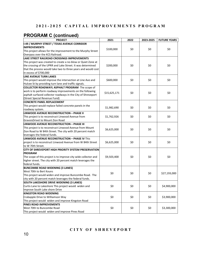# **PROGRAM C (continued)**

| <b>PROJECT</b>                                                  | 2021         | 2022 | 2023-2025 | <b>FUTURE YEARS</b> |
|-----------------------------------------------------------------|--------------|------|-----------|---------------------|
| 1-49 / MURPHY STREET / TEXAS AVENUE CORRIDOR                    |              |      |           |                     |
| <b>IMPROVEMENTS</b>                                             |              |      |           |                     |
| This project allows for the improvement to the Murphy Street    | \$100,000    | \$0  | \$0       | \$0                 |
| Overpass over the KCS Railroad.                                 |              |      |           |                     |
| <b>LAKE STREET RAILROAD CROSSINGS IMPROVEMENTS</b>              |              |      |           |                     |
| This project was created to create a no-blow or Quiet Zone at   |              |      |           |                     |
| the crossing of the UPRR and Lake Street. It was determined     | \$200,000    | \$0  | \$0       | \$0                 |
| that the process would take two to three years and would cost   |              |      |           |                     |
| in excess of \$700,000                                          |              |      |           |                     |
| LINE AVENUE TURN LANES                                          |              |      |           |                     |
| This project would improve the intersection at Line Ave and     | \$600,000    | \$0  | \$0       | \$0                 |
| Hulcee St by providing turn lane and traffic signals.           |              |      |           |                     |
| <b>COLLECTOR ROADWAYL ASPHALT PROGRAM</b> The scope of          |              |      |           |                     |
| work is to perform roadway improvements on the following        |              |      |           |                     |
| asphalt surfaced collector roadways in the City of Shreveport   | \$15,625,171 | \$0  | \$0       | \$0                 |
| (Street Special Revenue Fund)                                   |              |      |           |                     |
| <b>CONCRETE PANEL REPLACEMENT</b>                               |              |      |           |                     |
| This project would replace failed concrete panels in the        |              |      |           |                     |
| roadway system.                                                 | \$1,982,690  | \$0  | \$0       | \$0                 |
| <b>LINWOOD AVENUE RECONSTRUCTION - PHASE II</b>                 |              |      |           |                     |
| This project is to reconstruct Linwood Avenue from              | \$1,762,926  | \$0  | \$0       | \$0                 |
| GravoisDrivet to Mount Zion Road                                |              |      |           |                     |
| LINWOOD AVENUE RECONSTRUCTION - PHASE III                       |              |      |           |                     |
| This project is to reconstruct Linwood Avenue from Mount        |              |      |           |                     |
| Zion Road to W 84th Street. The city with 20 percent match      | \$6,625,000  | \$0  | \$0       | \$0                 |
| leverages the federal funds.                                    |              |      |           |                     |
| <b>LINWOOD AVENUE RECONSTRUCTION - PHASE IV This</b>            |              |      |           |                     |
| project is to reconstruct Linwood Avenue from W 84th Street     | \$6,625,000  | \$0  | \$0       | \$0                 |
| to W 70th Street.                                               |              |      |           |                     |
| CITY OF SHREVEPORT HIGH PRIORITY SYSTEM PRESERVATION            |              |      |           |                     |
| <b>PROGRAM</b>                                                  |              |      |           |                     |
| The scope of this project is to improve city wide collector and | \$9,503,400  | \$0  | \$0       | \$0                 |
| higher street. The city with 20 percent match leverages the     |              |      |           |                     |
| federal funds.                                                  |              |      |           |                     |
| <b>BUNCOMBE ROAD WIDENING (3 LANES)</b>                         |              |      |           |                     |
| West 70th to Bert Kouns                                         |              |      |           |                     |
| This project would widen and improve Buncombe Road. The         | \$0          | \$0  | \$0       | \$27,193,000        |
| city with 20 percent match leverages the federal funds.         |              |      |           |                     |
| SOUTH LAKESHORE DRIVE WIDENING (3 LANES)                        |              |      |           |                     |
| Curtis Lane to Lakeshore This project would widen and           | \$0          | \$0  | \$0       | \$4,900,000         |
| improve South Lake shore Drive                                  |              |      |           |                     |
| <b>KINGSTON ROAD WIDENING</b>                                   |              |      |           |                     |
| Crabapple Drive to Williamson Way                               | \$0          | \$0  | \$0       | \$3,900,000         |
| This project would widen and improve Kingston Road              |              |      |           |                     |
| PINES ROAD IMPROVEMENTS                                         |              |      |           |                     |
| West 70th to Buncombe Road                                      | \$0          | \$0  | \$0       | \$3,300,000         |
| This project would widen and improve Pines Road                 |              |      |           |                     |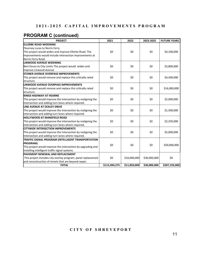# **PROGRAM C (continued)**

| <b>PROJECT</b>                                                | 2021          | 2022         | 2023-2025    | <b>FUTURE YEARS</b> |
|---------------------------------------------------------------|---------------|--------------|--------------|---------------------|
| <b>ELLERBE ROAD WIDENING</b>                                  |               |              |              |                     |
| Flournoy Lucas to Norris Ferry                                |               |              |              |                     |
| This project would widen and improve Ellerbe Road. The        | \$0           | \$0          | \$0          | \$4,100,000         |
| improvements would include intersection improvements at       |               |              |              |                     |
| Norris Ferry Road.                                            |               |              |              |                     |
| LINWOOD AVENUE WIDENING                                       |               |              |              |                     |
| Bert Kouns to City Limits This project would widen and        | \$0           | \$0          | \$0          | \$3,800,000         |
| improve Linwood Avenue                                        |               |              |              |                     |
| <b>STONER AVENUE OVERPASS IMPROVEMENTS</b>                    |               |              |              |                     |
| This project would remove and replace this critically rated   | \$0           | \$0          | \$0          | \$4,500,000         |
| structure.                                                    |               |              |              |                     |
| LINWOOD AVENUE OVERPASS IMPROVEMENTS                          |               |              |              |                     |
| This project would remove and replace this critically rated   | \$0           | \$0          | \$0          | \$16,000,000        |
| structure.                                                    |               |              |              |                     |
| <b>KINGS HIGHWAY AT HEARNE</b>                                |               |              |              |                     |
| This project would improve the intersection by realigning the | \$0           | \$0          | \$0          | \$2,000,000         |
| intersection and adding turn lanes where required.            |               |              |              |                     |
| LINE AVENUE AT OCKLEY DRIVE                                   |               |              |              |                     |
| This project would improve the intersection by realigning the | \$0           | \$0          | \$0          | \$1,500,000         |
| intersection and adding turn lanes where required.            |               |              |              |                     |
| <b>HOLLYWOOD AT MANSFIELD ROAD</b>                            |               |              |              |                     |
| This project would improve the intersection by realigning the | \$0           | \$0          | \$0          | \$2,250,000         |
| intersection and adding turn lanes where required.            |               |              |              |                     |
| <b>CITYWIDE INTERSECTION IMPROVEMENTS</b>                     |               |              |              |                     |
| This project would improve the intersection by realigning the | \$0           | \$0          | \$0          | \$5,000,000         |
| intersection and adding turn lanes where required.            |               |              |              |                     |
| TRAFFIC SIGNAL PROGRAM (INTELLIGENT TRANSPORTATION            |               |              |              |                     |
| <b>PROGRAM</b> )                                              | \$0           | \$0          | \$0          |                     |
| This project would improve the intersection by upgrading and  |               |              |              | \$50,000,000        |
| installing intelligent traffic signal systems.                |               |              |              |                     |
| <b>PAVEMENT RENEWAL AND REPLACEMENT</b>                       |               |              |              |                     |
| This project includes city overlay program, panel replacement | \$0           | \$10,000,000 | \$30,000,000 | \$0                 |
| and reconstruction of streets that are beyond repair.         |               |              |              |                     |
| <b>TOTAL</b>                                                  | \$113,494,275 | \$11,850,000 | \$30,000,000 | \$207,193,000       |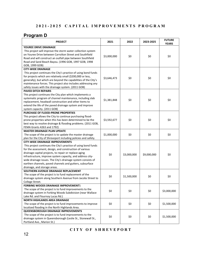# **Program D**

| <b>PROJECT</b>                                                                                                                                                                                                                                                                                                                                                                                                                                         | 2021        | 2022        | 2023-2025   | <b>FUTURE</b><br><b>YEARS</b> |
|--------------------------------------------------------------------------------------------------------------------------------------------------------------------------------------------------------------------------------------------------------------------------------------------------------------------------------------------------------------------------------------------------------------------------------------------------------|-------------|-------------|-------------|-------------------------------|
| YOUREE DRIVE DRAINAGE<br>This project will improve the storm water collection system<br>on Youree Drive between Carrolton Street and Southfield<br>Road and will construct an outfall pipe between Southfield                                                                                                                                                                                                                                          | \$3,000,000 | \$0         | \$0         | \$0                           |
| Road and Sand Beach Bayou. (1996 GOB, 1997 GOB, 1998<br>GOB, 1999 GOB)                                                                                                                                                                                                                                                                                                                                                                                 |             |             |             |                               |
| <b>CITY-WIDE DRAINAGE</b>                                                                                                                                                                                                                                                                                                                                                                                                                              |             |             |             |                               |
| This project continues the City's practice of using bond funds<br>for projects which are relatively small (\$200,000 or less,<br>generally), but which are beyond the capabilities of the City's<br>maintenance forces. This project also includes addressing any<br>safety issues with the drainage system. (2011 GOB)                                                                                                                                | \$3,646,473 | \$0         | \$0         | \$0                           |
| <b>PAVED DITCH REPAIRS</b>                                                                                                                                                                                                                                                                                                                                                                                                                             |             |             |             |                               |
| This project continues the City plan which implements a<br>systematic program of channel maintenance, including slab<br>replacement, headwall construction and other items to<br>extend the life of the paved drainage system and improve<br>system capacity. (2011 GOB)                                                                                                                                                                               | \$1,381,848 | \$0         | \$0         | \$0                           |
| <b>PURCHASE OF FLOOD-PRONE PROPERTIES</b>                                                                                                                                                                                                                                                                                                                                                                                                              |             |             |             |                               |
| This project allows the City to continue purchasing flood-<br>prone properties when this has been determined to be the<br>best way to resolve drainage & flooding problems. (2011 GOB,<br>FEMA Grants 4263 and 1792)                                                                                                                                                                                                                                   | \$3,592,677 | \$0         | \$0         | \$0                           |
| <b>MASTER DRAINAGE PLAN UPDATE</b>                                                                                                                                                                                                                                                                                                                                                                                                                     |             |             |             |                               |
| The scope of the project is to update the master drainage<br>plan for the City of Shreveport including policies and safety.                                                                                                                                                                                                                                                                                                                            | \$1,000,000 | \$0         | \$0         | \$0                           |
| <b>CITY-WIDE DRAINAGE IMPROVEMENTS</b><br>This project continues the City's practice of using bond funds<br>for the assessment, design, and construction of various<br>drainage capital projects, to repair or replace aging<br>infrastructure, improve system capacity, and address city-<br>wide drainage issues. The City's drainage system consists of<br>earthen channels, paved channels and gutters, subsurface<br>drainage, and storage areas. | \$0         | \$3,000,000 | \$9,000,000 | \$0                           |
| SOUTHERN AVENUE DRAINAGE REPLACEMENT<br>The scope of the project is to fund replacement of the<br>drainage system along Southern Avenue from Jacobs Street to<br>College Street.                                                                                                                                                                                                                                                                       | \$0         | \$1,500,000 | \$0         | \$0                           |
| <b>FORBING WOODS DRAINAGE IMPROVEMENTS</b>                                                                                                                                                                                                                                                                                                                                                                                                             |             |             |             |                               |
| The scope of the project is to fund improvements to the<br>drainage system in Forbing Woods Subdivision (near Wallace<br>Lake Rd. and Flournoy Lucas Rd.)                                                                                                                                                                                                                                                                                              | \$0         | \$0         | \$0         | \$3,000,000                   |
| <b>NORTH HIGHLANDS AREA DRAINAGE</b><br>The scope of the project is to fund improvements to improve<br>localized flooding in the North Highlands Area.                                                                                                                                                                                                                                                                                                 | \$0         | \$0         | \$0         | \$1,500,000                   |
| QUEENSBOROUGH DRAINAGE IMPROVEMENTS                                                                                                                                                                                                                                                                                                                                                                                                                    |             |             |             |                               |
| The scope of the project is to fund improvements to the<br>drainage system in Queensborough (Leslie St., Stonewall St.,<br>Portland Ave., Marion St.)                                                                                                                                                                                                                                                                                                  | \$0         | \$0         | \$0         | \$1,500,000                   |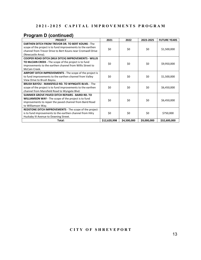# **Program D (continued)**

| <b>PROJECT</b>                                                  | 2021         | 2022        | 2023-2025   | <b>FUTURE YEARS</b> |
|-----------------------------------------------------------------|--------------|-------------|-------------|---------------------|
| <b>EARTHEN DITCH FROM TREVOR DR. TO BERT KOUNS - The</b>        |              |             |             |                     |
| scope of the project is to fund improvements to the earthen     | \$0          | \$0         | \$0         | \$1,500,000         |
| channel from Trevor Drive to Bert Kouns near Cromwell Drive     |              |             |             |                     |
| (Newcastle Area).                                               |              |             |             |                     |
| COOPER ROAD DITCH (MLK DITCH) IMPROVEMENTS - WILLIS             |              |             |             |                     |
| TO McCAIN CREEK - The scope of the project is to fund           | \$0          | \$0         | \$0         | \$9,950,000         |
| improvements to the earthen channel from Willis Street to       |              |             |             |                     |
| McCain Creek.                                                   |              |             |             |                     |
| <b>AIRPORT DITCH IMPROVEMENTS - The scope of the project is</b> |              |             |             |                     |
| to fund improvements to the earthen channel from Valley         | \$0          | \$0         | \$0         | \$1,500,000         |
| View Drive to Brush Bayou.                                      |              |             |             |                     |
| <b>BRUSH BAYOU - MANSFIELD RD. TO WYNGATE BLVD. - The</b>       |              |             |             |                     |
| scope of the project is to fund improvements to the earthen     | \$0          | \$0         | \$0         | \$6,450,000         |
| channel from Mansfield Road to Wyngate Blvd.                    |              |             |             |                     |
| SUMMER GROVE PAVED DITCH REPAIRS - BAIRD RD. TO                 |              |             |             |                     |
| <b>WILLIAMSON WAY - The scope of the project is to fund</b>     | \$0          | \$0         | \$0         | \$6,450,000         |
| improvements to repair the paved channel from Baird Road        |              |             |             |                     |
| to Williamson Way.                                              |              |             |             |                     |
| <b>REDSTONE DITCH IMPROVEMENTS</b> - The scope of the project   |              |             |             |                     |
| is to fund improvements to the earthen channel from Hilry       | \$0          | \$0         | \$0         | \$750,000           |
| Huckaby III Avenue to Downing Street.                           |              |             |             |                     |
| Total:                                                          | \$12,620,998 | \$4,500,000 | \$9,000,000 | \$32,600,000        |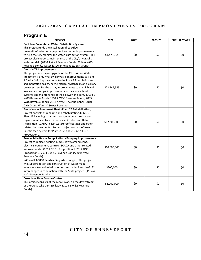#### **Program E**

| <b>PROJECT</b>                                                                                                                                                                                                                                                                                                                                                                                                                                                                                                                                                                                                       | 2021         | 2022 | 2023-25 | <b>FUTURE YEARS</b> |
|----------------------------------------------------------------------------------------------------------------------------------------------------------------------------------------------------------------------------------------------------------------------------------------------------------------------------------------------------------------------------------------------------------------------------------------------------------------------------------------------------------------------------------------------------------------------------------------------------------------------|--------------|------|---------|---------------------|
| <b>Backflow Preventers - Water Distribution System</b><br>This project funds the installation of backflow<br>prevention/detection equipment and other improvements<br>to help the City monitor the water distribution system. This<br>project also supports maintenance of the City's hydraulic<br>water model. (2000 A W&S Revenue Bonds, 2014 A W&S<br>Revenue Bonds, Water & Sewer Revenues, EPA Grant)                                                                                                                                                                                                           | \$4,479,755  | \$0  | \$0     | \$0                 |
| <b>Amiss WTP Improvements</b><br>This project is a major upgrade of the City's Amiss Water<br>Treatment Plant. Work will involve improvements to Plant<br>1 Basins 1-6, improvements to the Plant 2 flocculation and<br>sedimentation basins, new electrical switchgear, an auxiliary<br>power system for the plant, improvements to the high and<br>low service pumps, improvements to the caustic feed<br>systems and maintenance of the spillway and dam. (1993 B<br>W&S Revenue Bonds, 1994 A W&S Revenue Bonds, 2005<br>W&S Revenue Bonds, 2014 A W&S Revenue Bonds, 2010<br>DHH Grant, Water & Sewer Revenues) | \$23,549,555 | \$0  | \$0     | \$0                 |
| Amiss Water Treatment Plant - Plant 2E Rehabilitation;<br>Project consists of repairing and rehabilitating 40 MGD<br>Plant 2E including structural work, equipment repair and<br>replacement, electrical, Supervisory Control and Data<br>Acquisition (SCADA), basin waterproof coatings and other<br>related improvements. Second project consists of New<br>Caustic feed system for Plants 1, 2, and 2E. (2011 GOB -<br>Proposition 1)                                                                                                                                                                             | \$12,200,000 | \$0  | \$0     | \$0                 |
| Twelve Mile Bayou Pump Station - Pumping Improvements<br>Project to replace existing pumps, raw water screens,<br>electrical equipment, controls, SCADA and other related<br>improvements. (2011 GOB - Proposition 1, 2014 GOB -<br>Proposition 1, 2014 B W&S Revenue Bonds, 2015 W&S<br>Revenue Bonds)                                                                                                                                                                                                                                                                                                              | \$10,605,300 | \$0  | \$0     | \$0                 |
| I-49 and LA-3132 Landscaping Interchanges; This project<br>will support design and construction of water main<br>extensions to service irrigation systems at I-49 and LA-3132<br>interchanges in conjunction with the State project. (1994 A<br>W&S Revenue Bonds)                                                                                                                                                                                                                                                                                                                                                   | \$300,000    | \$0  | \$0     | \$0                 |
| <b>Cross Lake Dam Erosion Control</b><br>This project consists of the repair work on the downstream<br>of the Cross Lake Dam Spillway. (2014 B W&S Revenue<br>Bonds)                                                                                                                                                                                                                                                                                                                                                                                                                                                 | \$3,000,000  | \$0  | \$0     | \$0                 |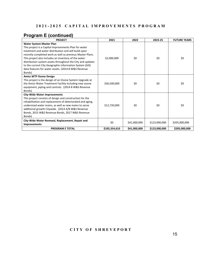# **Program E (continued)**

| <b>PROJECT</b>                                                                                                                                                                                                                                                                                                                                                                                                                                           | 2021          | 2022         | 2023-25       | <b>FUTURE YEARS</b> |
|----------------------------------------------------------------------------------------------------------------------------------------------------------------------------------------------------------------------------------------------------------------------------------------------------------------------------------------------------------------------------------------------------------------------------------------------------------|---------------|--------------|---------------|---------------------|
| Water System Master Plan<br>This project is a Capital Improvements Plan for water<br>treatment and water distribution and will build upon<br>recently completed work as well as previous Master Plans.<br>This project also includes an inventory of the water<br>distribution system assets throughout the City and updates<br>to the current City Geographic Information System (GIS)<br>data features for water assets. (2014 B W&S Revenue<br>Bonds) | \$2,000,000   | \$0          | \$0           | \$0                 |
| <b>Amiss WTP Ozone Design</b><br>This project is the design of an Ozone System Upgrade at<br>the Amiss Water Treatment Facility including new ozone<br>equipment, piping and controls. (2014 B W&S Revenue<br>Bonds)                                                                                                                                                                                                                                     | \$36,500,000  | \$0          | \$0           | \$0                 |
| <b>City-Wide Water Improvements</b><br>This project consists of design and construction for the<br>rehabilitation and replacement of deteriorated and aging,<br>undersized water mains, as well as new mains to serve<br>additional growth Citywide. (2014 A/B W&S Revenue<br>Bonds, 2015 W&S Revenue Bonds, 2017 W&S Revenue<br>Bonds)                                                                                                                  | \$12,720,000  | \$0          | \$0           | \$0                 |
| City-Wide Water Renewal, Replacement, Repair and<br><b>Improvements</b>                                                                                                                                                                                                                                                                                                                                                                                  | \$0           | \$41,000,000 | \$123,000,000 | \$205,000,000       |
| <b>PROGRAM E TOTAL</b>                                                                                                                                                                                                                                                                                                                                                                                                                                   | \$105,354,610 | \$41,000,000 | \$123,000,000 | \$205,000,000       |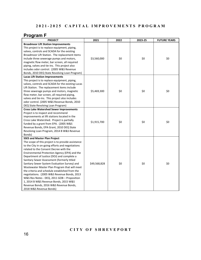# **Program F**

| <b>PROJECT</b>                                     | 2021         | 2022 | 2023-25 | <b>FUTURE YEARS</b> |
|----------------------------------------------------|--------------|------|---------|---------------------|
| <b>Broadmoor Lift Station Improvements</b>         |              |      |         |                     |
| This project is to replace equipment, piping,      |              |      |         |                     |
| valves, controls and SCADA for the existing        |              |      |         |                     |
| Broadmoor Lift Station. The replacement items      |              |      |         |                     |
| include three sewerage pumps and motors,           | \$3,560,000  | \$0  | \$0     | \$0                 |
| magnetic flow meter, bar screen, all required      |              |      |         |                     |
| piping, valves and tie-ins. This project also      |              |      |         |                     |
| includes odor control. (2005 W&S Revenue           |              |      |         |                     |
| Bonds, 2010 DEQ State Revolving Loan Program)      |              |      |         |                     |
| <b>Lucas Lift Station Improvements</b>             |              |      |         |                     |
| This project is to replace equipment, piping,      |              |      |         |                     |
| valves, controls and SCADA for the existing Lucas  |              |      |         |                     |
| Lift Station. The replacement items include        |              |      |         |                     |
| three sewerage pumps and motors, magnetic          | \$5,469,300  | \$0  | \$0     | \$0                 |
| flow meter, bar screen, all required piping,       |              |      |         |                     |
| valves and tie-ins. This project also includes     |              |      |         |                     |
| odor control. (2005 W&S Revenue Bonds, 2010        |              |      |         |                     |
| DEQ State Revolving Loan Program)                  |              |      |         |                     |
| <b>Cross Lake Watershed Sewer Improvements</b>     |              |      |         |                     |
| Project is to inspect and recommend                |              |      |         |                     |
| improvements at lift stations located in the       |              |      |         |                     |
| Cross Lake Watershed. Project is partially         | \$1,915,700  | \$0  | \$0     | \$0                 |
| funded by a grant from EPA. (2005 W&S              |              |      |         |                     |
| Revenue Bonds, EPA Grant, 2010 DEQ State           |              |      |         |                     |
| Revolving Loan Program, 2014 B W&S Revenue         |              |      |         |                     |
| Bonds)                                             |              |      |         |                     |
| <b>SSES and Master Plan Project</b>                |              |      |         |                     |
| The scope of this project is to provide assistance |              |      |         |                     |
| to the City in on-going efforts and negotiations   |              |      |         |                     |
| related to the Consent Decree with the             |              |      |         |                     |
| Environmental Protection Agency (EPA) and the      |              |      |         |                     |
| Department of Justice (DOJ) and complete a         |              |      |         |                     |
| Sanitary Sewer Assessment (formerly titled         |              |      |         |                     |
| Sanitary Sewer System Evaluation Survey) and       | \$49,568,828 | \$0  | \$0     | \$0                 |
| Wastewater Master Plan Program that will meet      |              |      |         |                     |
| the criteria and schedule established from the     |              |      |         |                     |
| negotiations. (2005 W&S Revenue Bonds, 2013        |              |      |         |                     |
| W&S Rev Notes - DEQ, 2011 GOB - Proposition        |              |      |         |                     |
| 1, 2014 B W&S Revenue Bonds, 2015 W&S              |              |      |         |                     |
| Revenue Bonds, 2016 W&S Revenue Bonds,             |              |      |         |                     |
| 2018 W&S Revenue Bonds)                            |              |      |         |                     |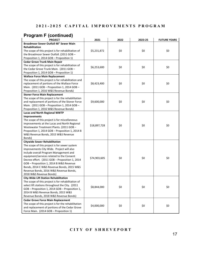#### **Program F (continued)**

| <b>PROJECT</b>                                      | 2021         | 2022 | 2023-25 | <b>FUTURE YEARS</b> |
|-----------------------------------------------------|--------------|------|---------|---------------------|
| Broadmoor Sewer Outfall 48" Sewer Main              |              |      |         |                     |
| <b>Rehabilitation</b>                               |              |      |         |                     |
| The scope of this project is for rehabilitation of  | \$5,231,872  | \$0  | \$0     | \$0                 |
| the Broadmoor Sewer Outfall. (2011 GOB -            |              |      |         |                     |
| Proposition 1, 2014 GOB - Proposition 1)            |              |      |         |                     |
| <b>Cedar Grove Trunk Main Repair</b>                |              |      |         |                     |
| The scope of this project is for rehabilitation of  |              | \$0  |         | \$0                 |
| the Cedar Grove Trunk Main. (2011 GOB -             | \$6,253,600  |      | \$0     |                     |
| Proposition 1, 2014 GOB - Proposition 1)            |              |      |         |                     |
| <b>Wallace Force Main Replacement</b>               |              |      |         |                     |
| The scope of this project is for rehabilitation and |              |      |         |                     |
| replacement of portions of the Wallace Force        | \$8,423,400  | \$0  | \$0     | \$0                 |
| Main. (2011 GOB - Proposition 1, 2014 GOB -         |              |      |         |                     |
| Proposition 1, 2016 W&S Revenue Bonds)              |              |      |         |                     |
| <b>Stoner Force Main Replacement</b>                |              |      |         |                     |
| The scope of this project is for the rehabilitation |              |      |         |                     |
| and replacement of portions of the Stoner Force     | \$9,600,000  | \$0  | \$0     | \$0                 |
| Main. (2011 GOB - Proposition 1, 2014 GOB -         |              |      |         |                     |
| Proposition 1, 2016 W&S Revenue Bonds)              |              |      |         |                     |
| <b>Lucas and North Regional WWTP</b>                |              |      |         |                     |
| Improvements                                        |              |      |         |                     |
| The scope of this project is for miscellaneous      |              |      |         |                     |
| improvements at the Lucas and North Regional        | \$18,897,728 | \$0  | \$0     | \$0                 |
| Wastewater Treatment Plants. (2011 GOB -            |              |      |         |                     |
| Proposition 1, 2014 GOB - Proposition 1, 2014 B     |              |      |         |                     |
| W&S Revenue Bonds, 2015 W&S Revenue                 |              |      |         |                     |
| Bonds)                                              |              |      |         |                     |
| <b>Citywide Sewer Rehabilitation</b>                |              |      |         |                     |
| The scope of this project is for sewer system       |              |      |         |                     |
| improvements City Wide. Project will also           |              |      |         |                     |
| include overall Program Management and              |              |      |         |                     |
| equipment/services related to the Consent           | \$74,903,605 | \$0  | \$0     | \$0                 |
| Decree effort. (2011 GOB - Proposition 1, 2014      |              |      |         |                     |
| GOB - Proposition 1, 2014 B W&S Revenue             |              |      |         |                     |
| Bonds, 2014 C W&S Revenue Bonds, 2015 W&S           |              |      |         |                     |
| Revenue Bonds, 2016 W&S Revenue Bonds,              |              |      |         |                     |
| 2018 W&S Revenue Bonds)                             |              |      |         |                     |
| <b>City-Wide Lift Station Rehabilitation</b>        |              |      |         |                     |
| The scope of this project is for rehabilitation of  |              |      |         |                     |
| select lift stations throughout the City. (2011)    | \$8,844,000  | \$0  | \$0     | \$0                 |
| GOB - Proposition 1, 2014 GOB - Proposition 1,      |              |      |         |                     |
| 2014 B W&S Revenue Bonds, 2015 W&S                  |              |      |         |                     |
| Revenue Bonds, 2018 W&S Revenue Bonds)              |              |      |         |                     |
| <b>Cedar Grove Force Main Replacement</b>           |              |      |         |                     |
| The scope of this project is for the rehabilitation | \$4,000,000  | \$0  | \$0     | \$0                 |
| and replacement of portions of the Cedar Grove      |              |      |         |                     |
| Force Main. (2014 GOB - Proposition 1)              |              |      |         |                     |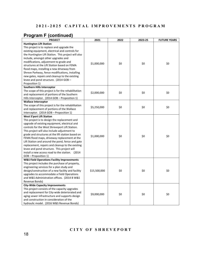# **Program F (continued)**

| <b>PROJECT</b>                                        | 2021         | 2022 | 2023-25 | <b>FUTURE YEARS</b> |  |
|-------------------------------------------------------|--------------|------|---------|---------------------|--|
| <b>Huntington Lift Station</b>                        |              |      |         |                     |  |
| This project is to replace and upgrade the            |              |      |         |                     |  |
| existing equipment, electrical and controls for       |              |      |         |                     |  |
| the Huntington Lift Station. This project will also   |              |      |         |                     |  |
| include, amongst other upgrades and                   |              |      |         |                     |  |
| modifications, adjustment to grade and                | \$1,000,000  | \$0  | \$0     | \$0                 |  |
| structures at the Lift Station based on FEMA          |              |      |         |                     |  |
| flood maps, installing a new driveway from            |              |      |         |                     |  |
| Shreve Parkway, fence modifications, installing       |              |      |         |                     |  |
| new gates, repairs and cleanup to the existing        |              |      |         |                     |  |
| levee and pond structure. (2014 GOB -                 |              |      |         |                     |  |
| Proposition 1)                                        |              |      |         |                     |  |
| Southern Hills Interceptor                            |              |      |         |                     |  |
| The scope of this project is for the rehabilitation   | \$2,000,000  | \$0  | \$0     | \$0                 |  |
| and replacement of portions of the Southern           |              |      |         |                     |  |
| Hills Interceptor. (2014 GOB - Proposition 1)         |              |      |         |                     |  |
| <b>Wallace Interceptor</b>                            |              |      |         |                     |  |
| The scope of this project is for the rehabilitation   | \$5,250,000  | \$0  | \$0     | \$0                 |  |
| and replacement of portions of the Wallace            |              |      |         |                     |  |
| Interceptor. (2014 GOB - Proposition 1)               |              |      |         |                     |  |
| <b>West S'port Lift Station</b>                       |              |      |         |                     |  |
| This project is to design the replacement and         |              |      |         |                     |  |
| upgrade of existing equipment, electrical and         |              |      |         |                     |  |
| controls for the West Shreveport Lift Station.        |              |      |         |                     |  |
| This project will also include adjustment to          |              |      |         |                     |  |
| grade and structures at the lift station based on     | \$1,000,000  | \$0  | \$0     | \$0                 |  |
| FEMA flood maps, driveway replacement at the          |              |      |         |                     |  |
| Lift Station and around the pond, fence and gate      |              |      |         |                     |  |
| replacement, repairs and cleanup to the existing      |              |      |         |                     |  |
| levee and pond structure. This project will           |              |      |         |                     |  |
| install a new access road to the station. (2014       |              |      |         |                     |  |
| GOB - Proposition 1)                                  |              |      |         |                     |  |
| <b>W&amp;S Field Operations Facility Improvements</b> |              |      |         |                     |  |
| This project includes the purchase of property,       |              |      |         |                     |  |
| engineering services for a plan study and             |              |      |         |                     |  |
| design/construction of a new facility and facility    | \$15,500,000 | \$0  | \$0     | \$0                 |  |
| upgrades to accommodate a Field Operations            |              |      |         |                     |  |
| and W&S Administration offices. (2014 B W&S           |              |      |         |                     |  |
| Revenue Bonds)                                        |              |      |         |                     |  |
| <b>City-Wide Capacity Improvements</b>                |              |      |         |                     |  |
| This project consists of the capacity upgrades        |              |      |         |                     |  |
| and replacement for City-wide deteriorated and        | \$9,000,000  | \$0  | \$0     | \$0                 |  |
| aging sewer infrastructure and supports design        |              |      |         |                     |  |
| and construction in consideration of the              |              |      |         |                     |  |
| hydraulic model. (2016 W&S Revenue Bonds)             |              |      |         |                     |  |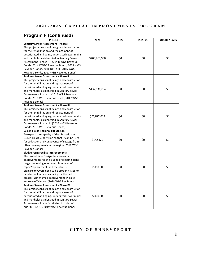# **Program F (continued)**

| <b>PROJECT</b>                                   | 2021<br>2022  |     | 2023-25 | <b>FUTURE YEARS</b> |  |
|--------------------------------------------------|---------------|-----|---------|---------------------|--|
| Sanitary Sewer Assessment - Phase I              |               |     |         |                     |  |
| This project consists of design and construction |               |     |         |                     |  |
| for the rehabilitation and replacement of        |               |     |         |                     |  |
| deteriorated and aging, undersized sewer mains   |               |     |         |                     |  |
| and manholes as identified in Sanitary Sewer     | \$209,763,990 | \$0 | \$0     | \$0                 |  |
| Assessment - Phase I. (2014 B W&S Revenue        |               |     |         |                     |  |
| Bonds, 2014 C W&S Revenue Bonds, 2015 W&S        |               |     |         |                     |  |
| Revenue Bonds, 2016 DEQ SRF, 2016 W&S            |               |     |         |                     |  |
| Revenue Bonds, 2017 W&S Revenue Bonds)           |               |     |         |                     |  |
| <b>Sanitary Sewer Assessment - Phase II</b>      |               |     |         |                     |  |
| This project consists of design and construction |               |     |         |                     |  |
| for the rehabilitation and replacement of        |               |     |         |                     |  |
| deteriorated and aging, undersized sewer mains   | \$137,836,254 | \$0 | \$0     | \$0                 |  |
| and manholes as identified in Sanitary Sewer     |               |     |         |                     |  |
| Assessment - Phase II. (2015 W&S Revenue         |               |     |         |                     |  |
| Bonds, 2016 W&S Revenue Bonds, 2017 W&S          |               |     |         |                     |  |
| Revenue Bonds)                                   |               |     |         |                     |  |
| Sanitary Sewer Assessment - Phase III            |               |     |         |                     |  |
| This project consists of design and construction |               |     |         |                     |  |
| for the rehabilitation and replacement of        |               |     |         |                     |  |
| deteriorated and aging, undersized sewer mains   | \$21,872,059  | \$0 | \$0     | \$0                 |  |
| and manholes as identified in Sanitary Sewer     |               |     |         |                     |  |
| Assessment - Phase III. (2016 W&S Revenue        |               |     |         |                     |  |
| Bonds, 2018 W&S Revenue Bonds)                   |               |     |         |                     |  |
| Lucien Fields Regional Lift Station              |               |     |         |                     |  |
| To expand the capacity of the lift station at    |               |     |         |                     |  |
| Lucien Fields Subdivision so that it can be used |               |     | \$0     |                     |  |
| for collection and conveyance of sewage from     | \$142,120     | \$0 |         | \$0                 |  |
| other developments in the region (2018 W&S       |               |     |         |                     |  |
| Revenue Bonds)                                   |               |     |         |                     |  |
| <b>Sludge Farm Facility Improvements</b>         |               |     |         |                     |  |
| The project is to Design the necessary           |               |     |         |                     |  |
| improvements for the sludge processing plant.    |               |     |         |                     |  |
| Large processing equipment is in need of         |               |     |         |                     |  |
| repair/replacement, and the plant's              | \$2,000,000   | \$0 | \$0     | \$0                 |  |
| piping/conveyors need to be properly sized to    |               |     |         |                     |  |
| handle the load and capacity for the belt        |               |     |         |                     |  |
| presses. Other small improvement will also       |               |     |         |                     |  |
| improve efficiency. (2018 W&S Rev Bonds)         |               |     |         |                     |  |
| Sanitary Sewer Assessment - Phase IV             |               |     |         |                     |  |
| This project consists of design and construction |               |     |         |                     |  |
| for the rehabilitation and replacement of        |               |     |         |                     |  |
| deteriorated and aging, undersized sewer mains   | \$5,000,000   | \$0 | \$0     | \$0                 |  |
| and manholes as identified in Sanitary Sewer     |               |     |         |                     |  |
| Assessment - Phase IV. (Listed in order of       |               |     |         |                     |  |
| priority) (2018, 2019 W&S Revenue Bonds)         |               |     |         |                     |  |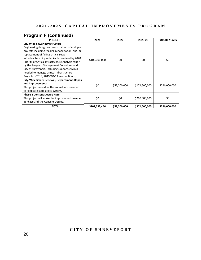# **Program F (continued)**

| <b>PROJECT</b>                                                                                                                                                                                                                                                                                                                                                                                                                                                                          | 2021          | 2022                | 2023-25                        | <b>FUTURE YEARS</b>  |
|-----------------------------------------------------------------------------------------------------------------------------------------------------------------------------------------------------------------------------------------------------------------------------------------------------------------------------------------------------------------------------------------------------------------------------------------------------------------------------------------|---------------|---------------------|--------------------------------|----------------------|
| <b>City Wide Sewer Infrastructure</b><br>Engineering design and construction of multiple<br>projects including repairs, rehabilitation, and/or<br>replacement of failing critical sewer<br>infrastructure city wide. As determined by 2020<br>Priority of Critical Infrastructure Analysis report<br>by the Program Management Consultant and<br>City of Shreveport. Including support services<br>needed to manage Critical Infrastructure<br>Projects. (2018, 2019 W&S Revenue Bonds) | \$100,000,000 | \$0                 | \$0                            | \$0                  |
| City-Wide Sewer Renewal, Replacement, Repair<br>and Improvements<br>This project would be the annual work needed<br>to keep a reliable utility system.<br><b>Phase 3 Consent Decree RMP</b><br>This project will make the improvements needed                                                                                                                                                                                                                                           | \$0<br>\$0    | \$57,200,000<br>\$0 | \$171,600,000<br>\$200,000,000 | \$296,000,000<br>\$0 |
| in Phase 3 of the Consent Decree.                                                                                                                                                                                                                                                                                                                                                                                                                                                       |               |                     |                                |                      |
| TOTAL                                                                                                                                                                                                                                                                                                                                                                                                                                                                                   | \$707,032,456 | \$57,200,000        | \$371,600,000                  | \$296,000,000        |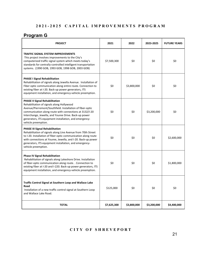# **Program G**

| <b>PROJECT</b>                                                                                                                                                                                                                                                                                                                                       | 2021        | 2022        | 2023-2025   | <b>FUTURE YEARS</b> |
|------------------------------------------------------------------------------------------------------------------------------------------------------------------------------------------------------------------------------------------------------------------------------------------------------------------------------------------------------|-------------|-------------|-------------|---------------------|
| <b>TRAFFIC SIGNAL SYSTEM IMPROVEMENTS</b><br>This project involves improvements to the City's<br>computerized traffic signal system which meets today's<br>standards for centrally-controlled intelligent transportation<br>systems. (1990 GOB, 1993 GOB, 1998 GOB, 2003 GOB)                                                                        | \$7,500,300 | \$0         | \$0         | \$0                 |
| <b>PHASE I Signal Rehabilitation</b><br>Rehabilitation of signals along Jewella Avenue. Installation of<br>Fiber optic communication along entire route. Connection to<br>existing fiber at I-20. Back-up power generators, ITS<br>equipment installation, and emergency-vehicle preemption.                                                         | \$0         | \$3,800,000 | \$0         | \$0                 |
| <b>PHASE II Signal Rehabilitation</b><br>Rehabilitation of signals along Hollywood<br>Avenue/Pierremont/Southfield. Installation of fiber-optic<br>communication along route with connections at 3132/I-20<br>Interchange, Jewella, and Youree Drive. Back-up power<br>generators, ITS equipment installation, and emergency-<br>vehicle preemption. | \$0         | \$0         | \$3,200,000 | \$0                 |
| PHASE III Signal Rehabilitation<br>Rehabilitation of signals along Line Avenue from 70th Street<br>to I-20. Installation of fiber-optic communication along route<br>with connections at Youree, Jewella, and I-20. Back-up power<br>generators, ITS equipment installation, and emergency-<br>vehicle preemption.                                   | \$0         | \$0         | \$0         | \$2,600,000         |
| <b>Phase IV Signal Rehabilitation</b><br>Rehabilitation of signals along Lakeshore Drive. Installation<br>of fiber-optic communication along route. . Connection to<br>existing fiber at I-20 and I-220. Back-up power generators, ITS<br>equipment installation, and emergency-vehicle preemption.                                                  | \$0         | \$0         | \$0         | \$1,800,000         |
| Traffic Control Signal at Southern Loop and Wallace Lake<br>Road<br>Installation of a new traffic control signal at Southern Loop<br>and Wallace Lake Road.                                                                                                                                                                                          | \$125,000   | \$0         | \$0         | \$0                 |
| <b>TOTAL</b>                                                                                                                                                                                                                                                                                                                                         | \$7,625,300 | \$3,800,000 | \$3,200,000 | \$4,400,000         |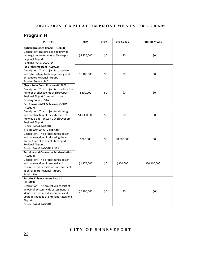# **Program H**

| <b>PROJECT</b>                                                                                                                                                                                                                                            | 2021         | 2022 | 2023-2025   | <b>FUTURE YEARS</b> |
|-----------------------------------------------------------------------------------------------------------------------------------------------------------------------------------------------------------------------------------------------------------|--------------|------|-------------|---------------------|
| Airfield Drainage Repair (H13003)<br>Description: This project is to provide<br>drainage improvements at Shreveport<br>Regional Airport.<br>Funding: FAA & LADOTD                                                                                         | \$5,750,000  | \$0  | \$0         | \$0                 |
| Jet Bridge Program (H16002)<br>Description: This project is to replace<br>and refurbish up to three jet bridges at<br>Shreveport Regional Airport.<br><b>Funding Source: SAA</b>                                                                          | \$1,100,000  | \$0  | \$0         | \$0                 |
| <b>Check Point Consolidation (H16003)</b><br>Description: This project is to reduce the<br>number of checkpoints at Shreveport<br>Regional Airport from two to one.<br>Funding Source: SAA                                                                | \$800,000    | \$0  | \$0         | \$0                 |
| Ext. Runway 6/24 & Taxiway C-SHV<br>(H16007)<br>Description: This project funds design<br>and construction of the extension of<br>Runway 6 and Taxiway C at Shreveport<br>Regional Airport.<br>Funds: FAA & LADOTD                                        | \$13,350,000 | \$0  | \$0         | \$0                 |
| ATC-Relocation-SHV (H17003)<br>Description: This project funds design<br>and construction of relocating the Air<br>Traffic Control Tower at Shreveport<br>Regional Airport.<br>Funds: FAA & LADOTD & SAA                                                  | \$800,000    | \$0  | \$8,000,000 | \$0                 |
| <b>Terminal and Concourse Modernization</b><br>(H17004)<br>Description: This project funds design<br>and construction of terminal and<br>concourse modernization improvements<br>at Shreveport Regional Airport.<br>Funds: SAA                            | \$2,175,000  | \$0  | \$300,000   | \$50,100,000        |
| <b>Security Enhancements Phase II</b><br>(17H013)<br>Description: The project will consist of<br>an overall system-wide assessment to<br>identify potential enhancements and<br>upgrades needed at Shreveport Regional<br>Airport.<br>Funds: FAA & LADOTD | \$2,700,000  | \$0  | \$0         | \$0                 |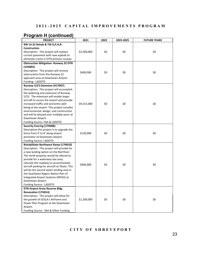## **Program H (continued)**

| <b>PROJECT</b>                                                                 | 2021        | 2022 | 2023-2025 | <b>FUTURE YEARS</b> |
|--------------------------------------------------------------------------------|-------------|------|-----------|---------------------|
| RW 14-32 Rehab & TW G, P, H, R-                                                |             |      |           |                     |
| <b>Construction</b>                                                            |             |      |           |                     |
| Description: This project will replace                                         | \$2,500,000 | \$0  | \$0       | \$0                 |
| current pavement with new asphalt to                                           |             |      |           |                     |
| eliminate cracks in DTN primary runway                                         |             |      |           |                     |
| <b>Obstruction Mitigation- Runway 32 DTN</b>                                   |             |      |           |                     |
| (15H002)                                                                       |             |      |           |                     |
| Description: This project will remove                                          | \$400,000   | \$0  | \$0       | \$0                 |
| obstructions from the Runway 32                                                |             |      |           |                     |
| approach area at Downtown Airport.                                             |             |      |           |                     |
| Funding: LADOTD                                                                |             |      |           |                     |
| Runway 5/23 Extension (H17007)                                                 |             |      |           |                     |
| Description: This project will accomplish                                      |             |      |           |                     |
| the widening and extension of Runway                                           |             |      |           |                     |
| 5/23. The extension will enable larger                                         |             |      |           |                     |
| aircraft to access the airport and provide                                     |             |      |           |                     |
| increased traffic and economic well-                                           | \$9,515,000 | \$0  | \$0       | \$0                 |
| being at the airport. This project includes                                    |             |      |           |                     |
| environmental, design, and construction                                        |             |      |           |                     |
| and will be phased over multiple years at<br>Downtown Airport.                 |             |      |           |                     |
| Funding Source: FAA & LADOTD                                                   |             |      |           |                     |
| <b>Security Fencing (17H008)</b>                                               |             |      |           |                     |
| Description this project is to upgrade the                                     |             |      |           |                     |
| fence from 4' to 8' along airport                                              | \$120,000   | \$0  | \$0       | \$0                 |
| perimeter at Downtown Airport.                                                 |             |      |           |                     |
| Funding Source: LADOTD                                                         |             |      |           |                     |
| Rehabilitate Northwest Ramp (17H010)                                           |             |      |           |                     |
| Description: This project will provide for                                     |             |      |           |                     |
| a new landing option on the Red River.                                         |             |      |           |                     |
| The north property would be altered to                                         |             |      |           |                     |
| provide for a waterway taxi area,                                              |             |      |           |                     |
| relocate the roadway to accommodate                                            | \$400,000   | \$0  | \$0       | \$0                 |
| aircraft parking for aircraft on floats. This                                  |             |      |           |                     |
| will be the second water landing area in                                       |             |      |           |                     |
| the Southwest Region Nation Plan of                                            |             |      |           |                     |
| Integrated Airport Systems (NPIAS) at                                          |             |      |           |                     |
| Downtown Airport.                                                              |             |      |           |                     |
| Funding Source: LADOTD                                                         |             |      |           |                     |
| DTN Airport Army Reserve Bldg.                                                 |             |      |           |                     |
| Renovation (17H014)                                                            |             |      |           |                     |
| Description: This project will allow for<br>the growth of SUSLA's Airframe and | \$1,200,000 | \$0  | \$0       | \$0                 |
| Power Plan Program at the Downtown                                             |             |      |           |                     |
| Airport.                                                                       |             |      |           |                     |
| Funding Source: SAA & Other Funding                                            |             |      |           |                     |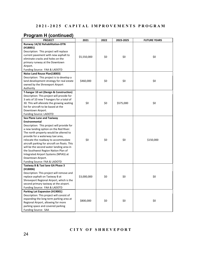| <b>PROJECT</b>                                                               | 2021        | 2022 | 2023-2025 | <b>FUTURE YEARS</b> |
|------------------------------------------------------------------------------|-------------|------|-----------|---------------------|
| Runway 14/32 Rehabilitation-DTN                                              |             |      |           |                     |
| (H18001)                                                                     |             |      |           |                     |
| Description: This project will replace                                       |             |      |           |                     |
| current pavement with new asphalt to                                         | \$5,550,000 | \$0  | \$0       | \$0                 |
| eliminate cracks and holes on the                                            |             |      |           |                     |
| primary runway at the Downtown                                               |             |      |           |                     |
| Airport.                                                                     |             |      |           |                     |
| Funding Source: FAA & LADOTD                                                 |             |      |           |                     |
| Noise Land Reuse Plan(18003)                                                 |             |      |           |                     |
| Description: This project is to develop a                                    |             |      |           |                     |
| land development strategy for real estate                                    | \$460,000   | \$0  | \$0       | \$0                 |
| owned by the Shreveport Airport                                              |             |      |           |                     |
| Authority                                                                    |             |      |           |                     |
| T-hangar 10 set (Design & Construction)                                      |             |      |           |                     |
| Description: This project will provide for                                   |             |      |           |                     |
| 3 sets of 10 new T-hangars for a total of                                    |             |      |           |                     |
| 30. This will alleviate the growing waiting                                  | \$0         | \$0  | \$575,000 | \$0                 |
| list for aircraft to be based at the                                         |             |      |           |                     |
| Downtown Airport.                                                            |             |      |           |                     |
| Funding Source: LADOTD                                                       |             |      |           |                     |
| Sea Plane Lane and Taxiway                                                   |             |      |           |                     |
| Environmental                                                                |             |      |           |                     |
| Description: This project will provide for                                   |             |      |           |                     |
| a new landing option on the Red River.                                       |             |      |           |                     |
| The north property would be altered to                                       |             |      |           |                     |
| provide for a waterway taxi area,                                            |             |      |           |                     |
| relocate the roadway to accommodate                                          | \$0         | \$0  | \$0       | \$150,000           |
| aircraft parking for aircraft on floats. This                                |             |      |           |                     |
| will be the second water landing area in                                     |             |      |           |                     |
| the Southwest Region Nation Plan of                                          |             |      |           |                     |
| Integrated Airport Systems (NPIAS) at                                        |             |      |           |                     |
| Downtown Airport.                                                            |             |      |           |                     |
| Funding Source: FAA & LADOTD                                                 |             |      |           |                     |
| Taxiway B & Taxi lane GA Phase 3                                             |             |      |           |                     |
| (H18006)<br>Description: This project will remove and                        |             |      |           |                     |
|                                                                              |             |      |           | \$0                 |
| replace asphalt on Taxiway B at<br>Shreveport Regional Airport, which is the | \$3,000,000 | \$0  | \$0       |                     |
|                                                                              |             |      |           |                     |
| second primary taxiway at the airport.                                       |             |      |           |                     |
| Funding Source: FAA & LADOTD<br>Parking Lot Expansion (H19001)               |             |      |           |                     |
| Description: This project will consist of                                    |             |      |           |                     |
| expanding the long term parking area at                                      |             |      |           |                     |
| Regional Airport, allowing for more                                          | \$800,000   | \$0  | \$0       | \$0                 |
| parking space and covered parking                                            |             |      |           |                     |
| Funding Source: SAA                                                          |             |      |           |                     |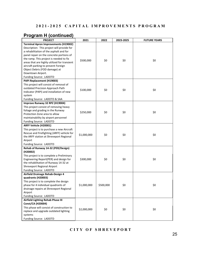| <b>PROJECT</b>                                                        | 2021        | 2022      | 2023-2025 | <b>FUTURE YEARS</b> |
|-----------------------------------------------------------------------|-------------|-----------|-----------|---------------------|
| <b>Terminal Apron Improvements (H19002)</b>                           |             |           |           |                     |
| Description: This project will provide for                            |             |           |           |                     |
| a rehabilitation of the asphalt and for                               |             |           |           |                     |
| panel repair on the concrete portions of                              |             |           |           |                     |
| the ramp. This project is needed to fix                               | \$500,000   | \$0       | \$0       | \$0                 |
| areas that are highly utilized for transient                          |             |           |           |                     |
| aircraft parking to prevent Foreign                                   |             |           |           |                     |
| Object Debris (FOD damage) at                                         |             |           |           |                     |
| Downtown Airport.                                                     |             |           |           |                     |
| Funding Source: LADOTD                                                |             |           |           |                     |
| PAPI Replacement (H19003)                                             |             |           |           |                     |
| This project will consist of removal of                               |             |           |           |                     |
| outdated Precision Approach Path                                      | \$100,000   | \$0       | \$0       | \$0                 |
| Indicator (PAPI) and installation of new                              |             |           |           |                     |
| system                                                                |             |           |           |                     |
| Funding Source: LADOTD & SAA                                          |             |           |           |                     |
| Improve Runway 32 RPZ (H19004)                                        |             |           |           |                     |
| This project consist of removing heavy                                |             |           |           |                     |
| foliage and grading in the Runway                                     | \$250,000   | \$0       | \$0       | \$0                 |
| Protection Zone area to allow<br>maintainability by airport personnel |             |           |           |                     |
| Funding Source: LADOTD                                                |             |           |           |                     |
| ARFF Vehicle (H20001)                                                 |             |           |           |                     |
| This project is to purchase a new Aircraft                            |             |           |           |                     |
| Rescue and Firefighting (ARFF) vehicle for                            |             |           |           |                     |
| the ARFF station at Shreveport Regional                               | \$1,000,000 | \$0       | \$0       | \$0                 |
| Airport                                                               |             |           |           |                     |
| Funding Source: LADOTD                                                |             |           |           |                     |
| Rehab of Runway 14-32 (PER/Design)                                    |             |           |           |                     |
| (H20002)                                                              |             |           |           |                     |
| This project is to complete a Preliminary                             |             |           |           |                     |
| Engineering Report(PER) and design for                                | \$300,000   | \$0       | \$0       | \$0                 |
| the rehabilitation of Runway 14-32 at                                 |             |           |           |                     |
| Shreveport Regional Airport                                           |             |           |           |                     |
| Funding Source: LADOTD                                                |             |           |           |                     |
| Airfield Drainage Rehab-Design 4                                      |             |           |           |                     |
| quadrants (H20003)                                                    |             |           |           |                     |
| This project is to complete the design                                |             |           |           |                     |
| phase for 4 individual quadrants of                                   | \$1,000,000 | \$500,000 | \$0       | \$0                 |
| drainage repairs at Shreveport Regional                               |             |           |           |                     |
| Airport                                                               |             |           |           |                     |
| Funding Source: LADOTD                                                |             |           |           |                     |
| Airfield Lighting Rehab Phase III                                     |             |           |           |                     |
| <b>Const/CA (H20004)</b>                                              |             |           |           |                     |
| This phase will consist of construction to                            | \$2,000,000 | \$0       | \$0       | \$0                 |
| replace and upgrade outdated lighting                                 |             |           |           |                     |
| systems                                                               |             |           |           |                     |
| Funding Source: LADOTD                                                |             |           |           |                     |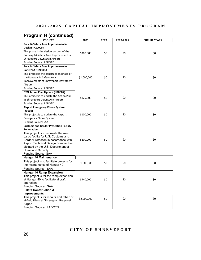| <b>PROJECT</b>                                     | 2021        | 2022 | 2023-2025 | <b>FUTURE YEARS</b> |
|----------------------------------------------------|-------------|------|-----------|---------------------|
| Rwy 14 Safety Area Improvements-                   |             |      |           |                     |
| Design (H20005)                                    |             |      |           |                     |
| This phase is the design portion of the            |             |      |           |                     |
| Runway 14 Safety Area Improvements at              | \$300,000   | \$0  | \$0       | \$0                 |
| Shreveport Downtown Airport                        |             |      |           |                     |
| Funding Source: LADOTD                             |             |      |           |                     |
| Rwy 14 Safety Area Improvements-                   |             |      |           |                     |
| <b>Const/CA (H20006)</b>                           |             |      |           |                     |
| This project is the construction phase of          |             |      |           |                     |
| the Runway 14 Safety Area                          | \$1,000,000 | \$0  | \$0       | \$0                 |
| Improvements at Shreveport Downtown                |             |      |           |                     |
| Airport                                            |             |      |           |                     |
| Funding Source: LADOTD                             |             |      |           |                     |
| DTN Action Plan Update (H20007)                    |             |      |           |                     |
| This project is to update the Action Plan          |             |      |           |                     |
| at Shreveport Downtown Airport                     | \$125,000   | \$0  | \$0       | \$0                 |
| Funding Source: LADOTD                             |             |      |           |                     |
| <b>Airport Emergency Phone System</b>              |             |      |           |                     |
| (20008)                                            |             |      |           |                     |
| This project is to update the Airport              | \$100,000   | \$0  | \$0       | \$0                 |
| <b>Emergency Phone System</b>                      |             |      |           |                     |
| <b>Funding Source: SAA</b>                         |             |      |           |                     |
| <b>Customs and Border Protection Facility</b>      |             |      |           |                     |
| <b>Renovation</b>                                  |             |      |           |                     |
| This project is to renovate the west               |             |      |           |                     |
| cargo facility for U.S. Customs and                |             |      |           |                     |
| Border Protection in accordance with               | \$200,000   | \$0  | \$0       | \$0                 |
| Airport Technical Design Standard as               |             |      |           |                     |
| dictated by the U.S. Department of                 |             |      |           |                     |
| Homeland Security.                                 |             |      |           |                     |
| <b>Funding Source: SAA</b>                         |             |      |           |                     |
| <b>Hangar 40 Maintenance</b>                       |             |      |           |                     |
| This project is to facilitate projects for         | \$1,000,000 | \$0  | \$0       | \$0                 |
| the maintenance of Hangar 40.                      |             |      |           |                     |
| Funding Source: SAA                                |             |      |           |                     |
| <b>Hangar 40 Ramp Expansion</b>                    |             |      |           |                     |
| This project is for the ramp expansion             |             |      |           |                     |
| at Hangar 40 to facilitate aircraft                | \$940,000   | \$0  | \$0       | \$0                 |
| operations.                                        |             |      |           |                     |
| Funding Source: SAA                                |             |      |           |                     |
| <b>Fillets Construction &amp;</b>                  |             |      |           |                     |
| <b>Improvements</b>                                |             |      |           |                     |
| This project is for repairs and rehab of           | \$2,000,000 | \$0  | \$0       | \$0                 |
| airfield fillets at Shreveport Regional<br>Airport |             |      |           |                     |
| Funding Source: LADOTD                             |             |      |           |                     |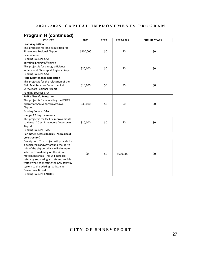| <b>PROJECT</b>                                                                                                                                                                                                  | 2021      | 2022 | 2023-2025 | <b>FUTURE YEARS</b> |
|-----------------------------------------------------------------------------------------------------------------------------------------------------------------------------------------------------------------|-----------|------|-----------|---------------------|
| <b>Land Acquisition</b>                                                                                                                                                                                         |           |      |           |                     |
| This project is for land acquisition for                                                                                                                                                                        |           |      |           |                     |
| Shreveport Regional Airport                                                                                                                                                                                     | \$200,000 | \$0  | \$0       | \$0                 |
| development.                                                                                                                                                                                                    |           |      |           |                     |
| Funding Source: SAA                                                                                                                                                                                             |           |      |           |                     |
| <b>Terminal Energy Efficiency</b>                                                                                                                                                                               |           |      |           |                     |
| This project is for energy efficiency                                                                                                                                                                           | \$20,000  | \$0  | \$0       | \$0                 |
| initiatives at Shreveport Regional Airport.                                                                                                                                                                     |           |      |           |                     |
| Funding Source: SAA                                                                                                                                                                                             |           |      |           |                     |
| <b>Field Maintenance Relocation</b>                                                                                                                                                                             |           |      |           |                     |
| This project is for the relocation of the                                                                                                                                                                       |           |      |           |                     |
| Field Maintenance Department at                                                                                                                                                                                 | \$10,000  | \$0  | \$0       | \$0                 |
| Shreveport Regional Airport                                                                                                                                                                                     |           |      |           |                     |
| Funding Source: SAA                                                                                                                                                                                             |           |      |           |                     |
| <b>FedEx Aircraft Relocation</b>                                                                                                                                                                                |           |      |           |                     |
| This project is for relocating the FEDEX                                                                                                                                                                        |           |      |           |                     |
| Aircraft at Shreveport Downtown                                                                                                                                                                                 | \$30,000  | \$0  | \$0       | \$0                 |
| Airport                                                                                                                                                                                                         |           |      |           |                     |
| Funding Source: SAA                                                                                                                                                                                             |           |      |           |                     |
| <b>Hangar 20 Improvements</b>                                                                                                                                                                                   |           |      |           |                     |
| This project is for facility improvements                                                                                                                                                                       |           |      |           |                     |
| to Hangar 20 at Shreveport Downtown                                                                                                                                                                             | \$10,000  | \$0  | \$0       | \$0                 |
| Airport                                                                                                                                                                                                         |           |      |           |                     |
| Funding Source: SAA                                                                                                                                                                                             |           |      |           |                     |
| Perimeter Access Roads DTN (Design &                                                                                                                                                                            |           |      |           |                     |
| Construction)                                                                                                                                                                                                   |           |      |           |                     |
| Description: This project will provide for                                                                                                                                                                      |           |      |           |                     |
| a dedicated roadway around the north                                                                                                                                                                            |           |      |           |                     |
| side of the airport which will eliminate                                                                                                                                                                        |           |      |           |                     |
| vehicles from driving on the aircraft                                                                                                                                                                           | \$0       | \$0  | \$600,000 | \$0                 |
|                                                                                                                                                                                                                 |           |      |           |                     |
|                                                                                                                                                                                                                 |           |      |           |                     |
|                                                                                                                                                                                                                 |           |      |           |                     |
|                                                                                                                                                                                                                 |           |      |           |                     |
|                                                                                                                                                                                                                 |           |      |           |                     |
| movement areas. This will increase<br>safety by separating aircraft and vehicle<br>traffic while connecting the new taxiway<br>system to the existing roadway at<br>Downtown Airport.<br>Funding Source: LADOTD |           |      |           |                     |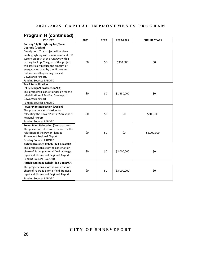| <b>PROJECT</b>                               | 2021 | 2022 | 2023-2025   | <b>FUTURE YEARS</b> |
|----------------------------------------------|------|------|-------------|---------------------|
| Runway 14/32 Lighting Led/Solar              |      |      |             |                     |
| <b>Upgrade (Design)</b>                      |      |      |             |                     |
| Description: This project will replace       |      |      |             |                     |
| existing lighting with a new solar and LED   |      |      |             |                     |
| system on both of the runways with a         |      |      |             |                     |
| battery backup. The goal of this project     | \$0  | \$0  | \$300,000   | \$0                 |
| will drastically reduce the amount of        |      |      |             |                     |
| energy being used by the Airport and         |      |      |             |                     |
| reduce overall operating costs at            |      |      |             |                     |
| Downtown Airport.                            |      |      |             |                     |
| Funding Source: LADOTD                       |      |      |             |                     |
| <b>Txy F Rehabilitation</b>                  |      |      |             |                     |
| (PER/Design/Construction/CA)                 |      |      |             |                     |
| This project will consist of design for the  | \$0  | \$0  | \$1,850,000 | \$0                 |
| rehabilitation of Txy F at Shreveport        |      |      |             |                     |
| Downtown Airport                             |      |      |             |                     |
| Funding Source: LADOTD                       |      |      |             |                     |
| <b>Power Plant Relocation (Design)</b>       |      |      |             |                     |
| This phase consist of design for             |      |      |             |                     |
| relocating the Power Plant at Shreveport     | \$0  | \$0  | \$0         | \$300,000           |
| Regional Airport                             |      |      |             |                     |
| Funding Source: LADOTD                       |      |      |             |                     |
| <b>Power Plant Relocation (Construction)</b> |      |      |             |                     |
| This phase consist of construction for the   |      |      |             |                     |
| relocation of the Power Plant at             | \$0  | \$0  | \$0         | \$2,000,000         |
| Shreveport Regional Airport                  |      |      |             |                     |
| Funding Source: LADOTD                       |      |      |             |                     |
| Airfield Drainage Rehab-Ph 3-Const/CA        |      |      |             |                     |
| This project consist of the construction     |      |      |             |                     |
| phase of Package A for airfield drainage     | \$0  | \$0  | \$2,000,000 | \$0                 |
| repairs at Shreveport Regional Airport       |      |      |             |                     |
| Funding Source: LADOTD                       |      |      |             |                     |
| Airfield Drainage Rehab-Ph 3-Const/CA        |      |      |             |                     |
| This project consist of the construction     |      |      |             |                     |
| phase of Package B for airfield drainage     | \$0  | \$0  | \$3,000,000 | \$0                 |
| repairs at Shreveport Regional Airport       |      |      |             |                     |
| Funding Source: LADOTD                       |      |      |             |                     |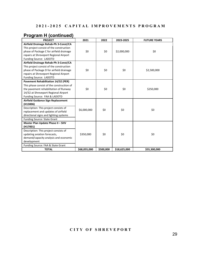| <b>PROJECT</b>                             | 2021         | 2022      | 2023-2025    | <b>FUTURE YEARS</b> |
|--------------------------------------------|--------------|-----------|--------------|---------------------|
| Airfield Drainage Rehab-Ph 3-Const/CA      |              |           |              |                     |
| This project consist of the construction   |              |           |              |                     |
| phase of Package C for airfield drainage   | \$0          | \$0       | \$2,000,000  | \$0                 |
| repairs at Shreveport Regional Airport     |              |           |              |                     |
| Funding Source: LADOTD                     |              |           |              |                     |
| Airfield Drainage Rehab-Ph 3-Const/CA      |              |           |              |                     |
| This project consist of the construction   |              |           |              |                     |
| phase of Package D for airfield drainage   | \$0          | \$0       | \$0          | \$2,500,000         |
| repairs at Shreveport Regional Airport     |              |           |              |                     |
| Funding Source: LADOTD                     |              |           |              |                     |
| <b>Pavement Rehabilitation 14/32 (PER)</b> |              |           |              |                     |
| This phase consist of the construction of  |              |           |              |                     |
| the pavement rehabilitation of Runway      | \$0          | \$0       | \$0          | \$250,000           |
| 14/32 at Shreveport Regional Airport       |              |           |              |                     |
| Funding Source: FAA & LADOTD               |              |           |              |                     |
| Airfield Guidance Sign Replacement         |              |           |              |                     |
| (H13006)                                   |              |           |              |                     |
| Description: This project consists of      | \$6,000,000  | \$0       | \$0          | \$0                 |
| replacement and updates of airfield        |              |           |              |                     |
| directional signs and lighting systems     |              |           |              |                     |
| <b>Funding Source: State Grant</b>         |              |           |              |                     |
| Master Plan Update Phase II - SHV          |              |           |              |                     |
| (H17001)                                   |              |           |              |                     |
| Description: This project consists of      |              |           |              |                     |
| updating aviation forecasts,               | \$350,000    | \$0       | \$0          | \$0                 |
| demand/capacity analysis and economic      |              |           |              |                     |
| development                                |              |           |              |                     |
| Funding Source: FAA & State Grant          |              |           |              |                     |
| <b>TOTAL</b>                               | \$68,055,000 | \$500,000 | \$18,625,000 | \$55,300,000        |